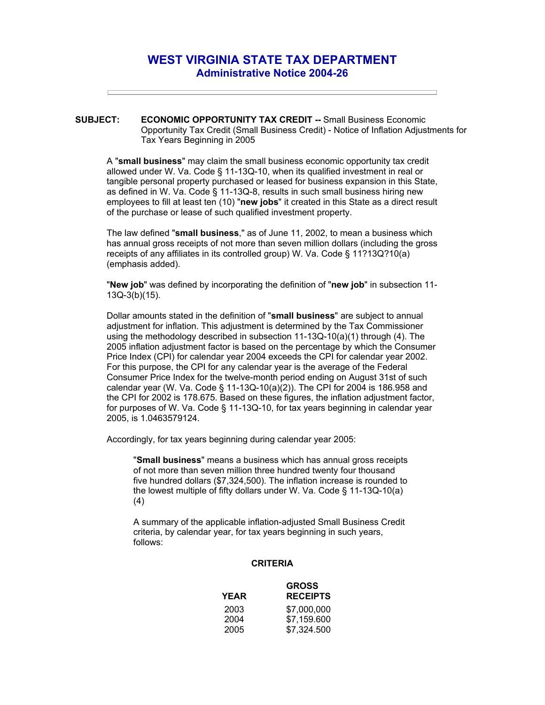## **WEST VIRGINIA STATE TAX DEPARTMENT Administrative Notice 2004-26**

**SUBJECT: ECONOMIC OPPORTUNITY TAX CREDIT -- Small Business Economic** Opportunity Tax Credit (Small Business Credit) - Notice of Inflation Adjustments for Tax Years Beginning in 2005

A "**small business**" may claim the small business economic opportunity tax credit allowed under W. Va. Code § 11-13Q-10, when its qualified investment in real or tangible personal property purchased or leased for business expansion in this State, as defined in W. Va. Code § 11-13Q-8, results in such small business hiring new employees to fill at least ten (10) "**new jobs**" it created in this State as a direct result of the purchase or lease of such qualified investment property.

The law defined "**small business**," as of June 11, 2002, to mean a business which has annual gross receipts of not more than seven million dollars (including the gross receipts of any affiliates in its controlled group) W. Va. Code § 11?13Q?10(a) (emphasis added).

"**New job**" was defined by incorporating the definition of "**new job**" in subsection 11- 13Q-3(b)(15).

Dollar amounts stated in the definition of "**small business**" are subject to annual adjustment for inflation. This adjustment is determined by the Tax Commissioner using the methodology described in subsection 11-13Q-10(a)(1) through (4). The 2005 inflation adjustment factor is based on the percentage by which the Consumer Price Index (CPI) for calendar year 2004 exceeds the CPI for calendar year 2002. For this purpose, the CPI for any calendar year is the average of the Federal Consumer Price Index for the twelve-month period ending on August 31st of such calendar year (W. Va. Code § 11-13Q-10(a)(2)). The CPI for 2004 is 186.958 and the CPI for 2002 is 178.675. Based on these figures, the inflation adjustment factor, for purposes of W. Va. Code § 11-13Q-10, for tax years beginning in calendar year 2005, is 1.0463579124.

Accordingly, for tax years beginning during calendar year 2005:

"**Small business**" means a business which has annual gross receipts of not more than seven million three hundred twenty four thousand five hundred dollars (\$7,324,500). The inflation increase is rounded to the lowest multiple of fifty dollars under W. Va. Code § 11-13Q-10(a) (4)

A summary of the applicable inflation-adjusted Small Business Credit criteria, by calendar year, for tax years beginning in such years, follows:

## **CRITERIA**

| <b>GROSS</b>    |
|-----------------|
| <b>RECEIPTS</b> |
| \$7,000,000     |
| \$7,159.600     |
| \$7,324.500     |
|                 |